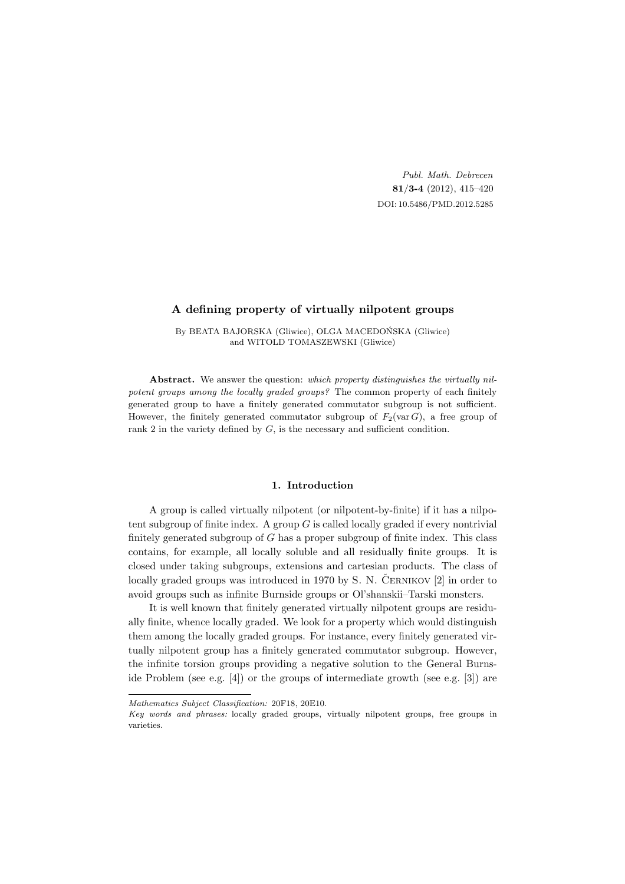Publ. Math. Debrecen 81/3-4 (2012), 415–420 DOI: 10.5486/PMD.2012.5285

# A defining property of virtually nilpotent groups

By BEATA BAJORSKA (Gliwice), OLGA MACEDOŃSKA (Gliwice) and WITOLD TOMASZEWSKI (Gliwice)

Abstract. We answer the question: which property distinguishes the virtually nilpotent groups among the locally graded groups? The common property of each finitely generated group to have a finitely generated commutator subgroup is not sufficient. However, the finitely generated commutator subgroup of  $F_2(\text{var }G)$ , a free group of rank 2 in the variety defined by  $G$ , is the necessary and sufficient condition.

### 1. Introduction

A group is called virtually nilpotent (or nilpotent-by-finite) if it has a nilpotent subgroup of finite index. A group  $G$  is called locally graded if every nontrivial finitely generated subgroup of  $G$  has a proper subgroup of finite index. This class contains, for example, all locally soluble and all residually finite groups. It is closed under taking subgroups, extensions and cartesian products. The class of locally graded groups was introduced in 1970 by S. N. ČERNIKOV  $[2]$  in order to avoid groups such as infinite Burnside groups or Ol'shanskii–Tarski monsters.

It is well known that finitely generated virtually nilpotent groups are residually finite, whence locally graded. We look for a property which would distinguish them among the locally graded groups. For instance, every finitely generated virtually nilpotent group has a finitely generated commutator subgroup. However, the infinite torsion groups providing a negative solution to the General Burnside Problem (see e.g. [4]) or the groups of intermediate growth (see e.g. [3]) are

Mathematics Subject Classification: 20F18, 20E10.

Key words and phrases: locally graded groups, virtually nilpotent groups, free groups in varieties.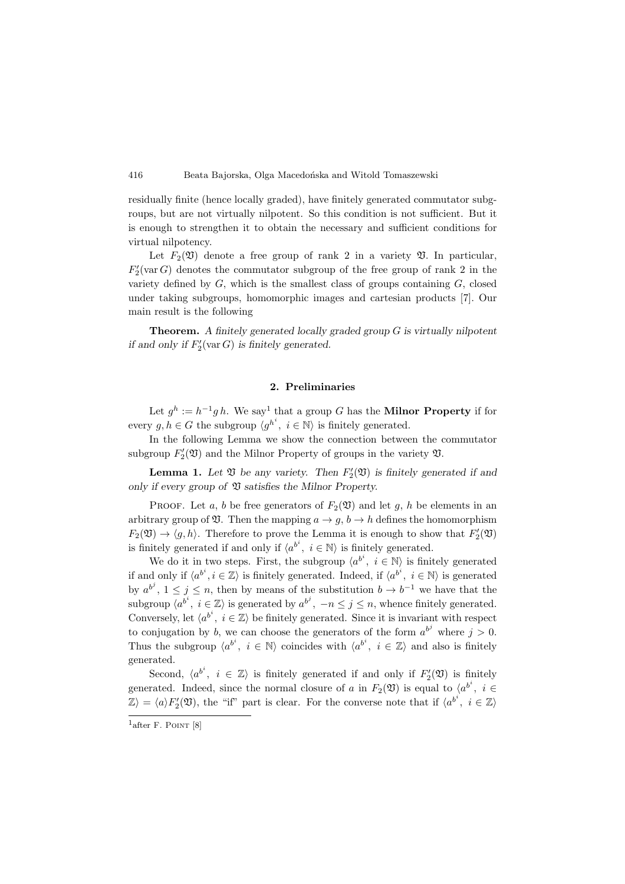416 Beata Bajorska, Olga Macedońska and Witold Tomaszewski

residually finite (hence locally graded), have finitely generated commutator subgroups, but are not virtually nilpotent. So this condition is not sufficient. But it is enough to strengthen it to obtain the necessary and sufficient conditions for virtual nilpotency.

Let  $F_2(\mathfrak{V})$  denote a free group of rank 2 in a variety  $\mathfrak{V}$ . In particular,  $F_2'(\text{var }G)$  denotes the commutator subgroup of the free group of rank 2 in the variety defined by  $G$ , which is the smallest class of groups containing  $G$ , closed under taking subgroups, homomorphic images and cartesian products [7]. Our main result is the following

Theorem. A finitely generated locally graded group G is virtually nilpotent if and only if  $F_2'(\text{var } G)$  is finitely generated.

## 2. Preliminaries

Let  $g^h := h^{-1}g h$ . We say<sup>1</sup> that a group G has the **Milnor Property** if for every  $g, h \in G$  the subgroup  $\langle g^{h^i}, i \in \mathbb{N} \rangle$  is finitely generated.

In the following Lemma we show the connection between the commutator subgroup  $F_2'(\mathfrak{V})$  and the Milnor Property of groups in the variety  $\mathfrak{V}$ .

**Lemma 1.** Let  $\mathfrak V$  be any variety. Then  $F_2'(\mathfrak V)$  is finitely generated if and only if every group of  $\mathfrak V$  satisfies the Milnor Property.

PROOF. Let a, b be free generators of  $F_2(\mathfrak{V})$  and let g, h be elements in an arbitrary group of  $\mathfrak V$ . Then the mapping  $a \to g$ ,  $b \to h$  defines the homomorphism  $F_2(\mathfrak{V}) \to \langle g, h \rangle$ . Therefore to prove the Lemma it is enough to show that  $F_2'(\mathfrak{V})$ is finitely generated if and only if  $\langle a^{b^i}, i \in \mathbb{N} \rangle$  is finitely generated.

We do it in two steps. First, the subgroup  $\langle a^{b^i}, i \in \mathbb{N} \rangle$  is finitely generated if and only if  $\langle a^{b^i}, i \in \mathbb{Z} \rangle$  is finitely generated. Indeed, if  $\langle a^{b^i}, i \in \mathbb{N} \rangle$  is generated by  $a^{b^j}$ ,  $1 \leq j \leq n$ , then by means of the substitution  $b \to b^{-1}$  we have that the subgroup  $\langle a^{b^i}, i \in \mathbb{Z} \rangle$  is generated by  $a^{b^j}, -n \leq j \leq n$ , whence finitely generated. Conversely, let  $\langle a^{b^i}, i \in \mathbb{Z} \rangle$  be finitely generated. Since it is invariant with respect to conjugation by b, we can choose the generators of the form  $a^{b^j}$  where  $j > 0$ . Thus the subgroup  $\langle a^{b^i}, i \in \mathbb{N} \rangle$  coincides with  $\langle a^{b^i}, i \in \mathbb{Z} \rangle$  and also is finitely generated.

Second,  $\langle a^{b^i}, i \in \mathbb{Z} \rangle$  is finitely generated if and only if  $F_2'(\mathfrak{V})$  is finitely generated. Indeed, since the normal closure of a in  $F_2(\mathfrak{V})$  is equal to  $\langle a^{b^i}, i \in$  $\mathbb{Z}\rangle = \langle a \rangle F'_2(\mathfrak{V})$ , the "if" part is clear. For the converse note that if  $\langle a^{b^i}, i \in \mathbb{Z} \rangle$ 

 $1$ after F. POINT [8]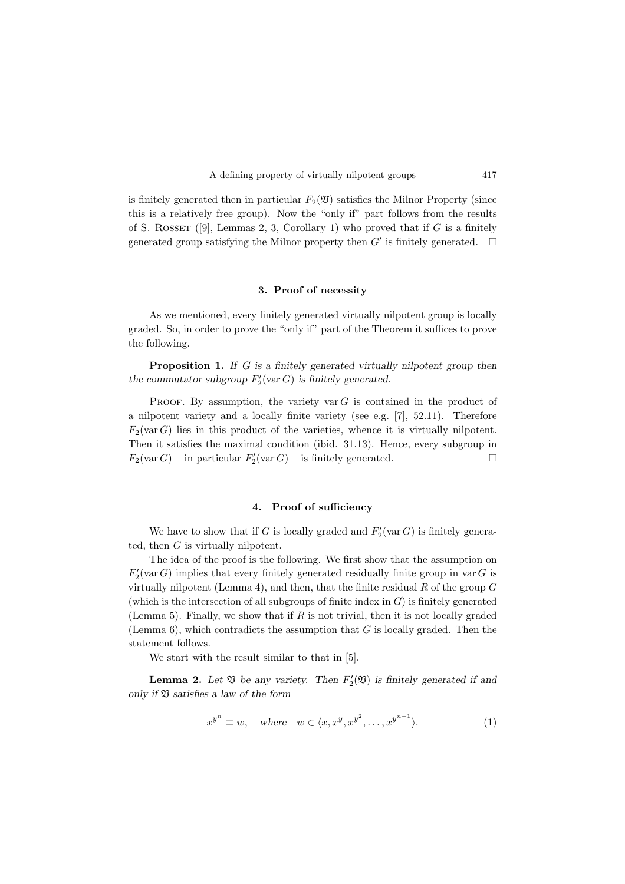

is finitely generated then in particular  $F_2(\mathfrak{V})$  satisfies the Milnor Property (since this is a relatively free group). Now the "only if" part follows from the results of S. ROSSET ([9], Lemmas 2, 3, Corollary 1) who proved that if  $G$  is a finitely generated group satisfying the Milnor property then  $G'$  is finitely generated.  $\Box$ 

## 3. Proof of necessity

As we mentioned, every finitely generated virtually nilpotent group is locally graded. So, in order to prove the "only if" part of the Theorem it suffices to prove the following.

Proposition 1. If G is a finitely generated virtually nilpotent group then the commutator subgroup  $F_2'(\text{var } G)$  is finitely generated.

PROOF. By assumption, the variety var  $G$  is contained in the product of a nilpotent variety and a locally finite variety (see e.g. [7], 52.11). Therefore  $F_2(\text{var }G)$  lies in this product of the varieties, whence it is virtually nilpotent. Then it satisfies the maximal condition (ibid. 31.13). Hence, every subgroup in  $F_2(\text{var }G)$  – in particular  $F_2'(\text{var }G)$  – is finitely generated.

## 4. Proof of sufficiency

We have to show that if G is locally graded and  $F'_{2}(\text{var }G)$  is finitely generated, then  $G$  is virtually nilpotent.

The idea of the proof is the following. We first show that the assumption on  $F_2'(\text{var }G)$  implies that every finitely generated residually finite group in var G is virtually nilpotent (Lemma 4), and then, that the finite residual  $R$  of the group  $G$ (which is the intersection of all subgroups of finite index in  $G$ ) is finitely generated (Lemma 5). Finally, we show that if  $R$  is not trivial, then it is not locally graded (Lemma  $6$ ), which contradicts the assumption that G is locally graded. Then the statement follows.

We start with the result similar to that in [5].

**Lemma 2.** Let  $\mathfrak V$  be any variety. Then  $F_2'(\mathfrak V)$  is finitely generated if and only if  $\mathfrak V$  satisfies a law of the form

$$
x^{y^n} \equiv w, \quad \text{where} \quad w \in \langle x, x^y, x^{y^2}, \dots, x^{y^{n-1}} \rangle. \tag{1}
$$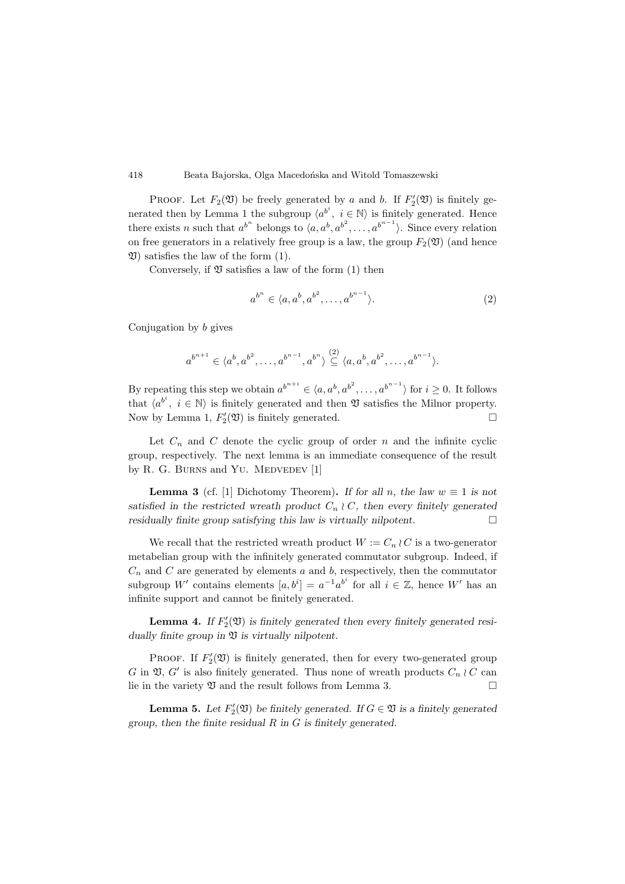418 Beata Bajorska, Olga Macedońska and Witold Tomaszewski

PROOF. Let  $F_2(\mathfrak{V})$  be freely generated by a and b. If  $F_2'(\mathfrak{V})$  is finitely generated then by Lemma 1 the subgroup  $\langle a^{b^i}, i \in \mathbb{N} \rangle$  is finitely generated. Hence there exists n such that  $a^{b^n}$  belongs to  $\langle a, a^b, a^{b^2}, \ldots, a^{b^{n-1}} \rangle$ . Since every relation on free generators in a relatively free group is a law, the group  $F_2(\mathfrak{V})$  (and hence  $\mathfrak V$ ) satisfies the law of the form (1).

Conversely, if  $\mathfrak V$  satisfies a law of the form (1) then

$$
a^{b^n} \in \langle a, a^b, a^{b^2}, \dots, a^{b^{n-1}} \rangle. \tag{2}
$$

Conjugation by b gives

$$
a^{b^{n+1}} \in \langle a^b, a^{b^2}, \dots, a^{b^{n-1}}, a^{b^n} \rangle \stackrel{(2)}{\subseteq} \langle a, a^b, a^{b^2}, \dots, a^{b^{n-1}} \rangle.
$$

By repeating this step we obtain  $a^{b^{n+i}} \in \langle a, a^b, a^{b^2}, \dots, a^{b^{n-1}} \rangle$  for  $i \ge 0$ . It follows that  $\langle a^{b^i}, i \in \mathbb{N} \rangle$  is finitely generated and then  $\mathfrak V$  satisfies the Milnor property. Now by Lemma 1,  $F_2'(\mathfrak{V})$  is finitely generated.  $\Box$ 

Let  $C_n$  and  $C$  denote the cyclic group of order  $n$  and the infinite cyclic group, respectively. The next lemma is an immediate consequence of the result by R. G. BURNS and YU. MEDVEDEV  $[1]$ 

**Lemma 3** (cf. [1] Dichotomy Theorem). If for all n, the law  $w \equiv 1$  is not satisfied in the restricted wreath product  $C_n \n\wr C$ , then every finitely generated residually finite group satisfying this law is virtually nilpotent.  $\Box$ 

We recall that the restricted wreath product  $W := C_n \wr C$  is a two-generator metabelian group with the infinitely generated commutator subgroup. Indeed, if  $C_n$  and C are generated by elements a and b, respectively, then the commutator subgroup W' contains elements  $[a, b^i] = a^{-1}a^{b^i}$  for all  $i \in \mathbb{Z}$ , hence W' has an infinite support and cannot be finitely generated.

**Lemma 4.** If  $F_2'(\mathfrak{V})$  is finitely generated then every finitely generated residually finite group in  $\mathfrak V$  is virtually nilpotent.

PROOF. If  $F_2'(\mathfrak{V})$  is finitely generated, then for every two-generated group G in  $\mathfrak{V}, G'$  is also finitely generated. Thus none of wreath products  $C_n \n\wr C$  can lie in the variety  $\mathfrak V$  and the result follows from Lemma 3.

**Lemma 5.** Let  $F_2'(\mathfrak{V})$  be finitely generated. If  $G \in \mathfrak{V}$  is a finitely generated group, then the finite residual  $R$  in  $G$  is finitely generated.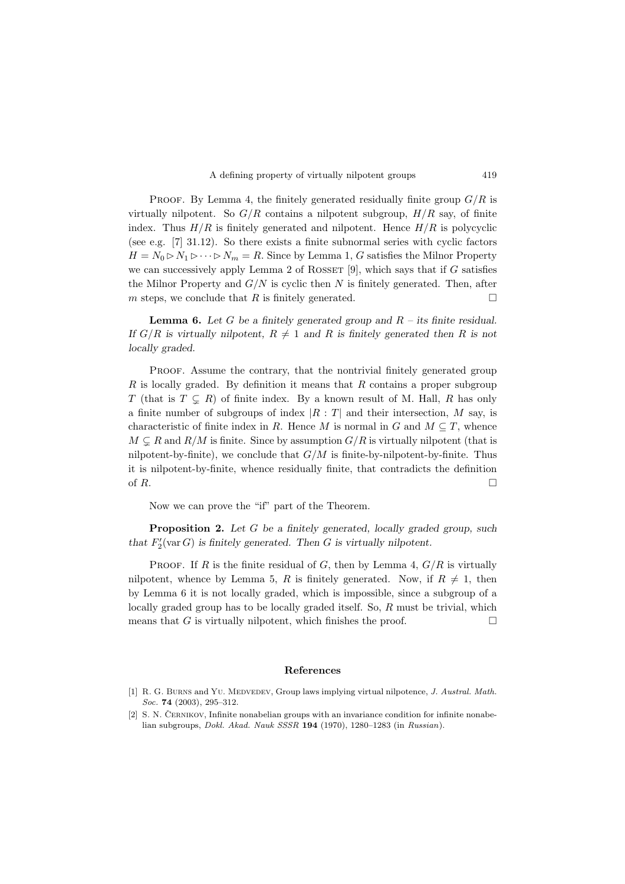

PROOF. By Lemma 4, the finitely generated residually finite group  $G/R$  is virtually nilpotent. So  $G/R$  contains a nilpotent subgroup,  $H/R$  say, of finite index. Thus  $H/R$  is finitely generated and nilpotent. Hence  $H/R$  is polycyclic (see e.g. [7] 31.12). So there exists a finite subnormal series with cyclic factors  $H = N_0 \triangleright N_1 \triangleright \cdots \triangleright N_m = R$ . Since by Lemma 1, G satisfies the Milnor Property we can successively apply Lemma 2 of ROSSET  $[9]$ , which says that if G satisfies the Milnor Property and  $G/N$  is cyclic then N is finitely generated. Then, after m steps, we conclude that R is finitely generated.  $\Box$ 

**Lemma 6.** Let G be a finitely generated group and  $R$  – its finite residual. If  $G/R$  is virtually nilpotent,  $R \neq 1$  and R is finitely generated then R is not locally graded.

Proof. Assume the contrary, that the nontrivial finitely generated group  $R$  is locally graded. By definition it means that  $R$  contains a proper subgroup T (that is  $T \subseteq R$ ) of finite index. By a known result of M. Hall, R has only a finite number of subgroups of index  $|R : T|$  and their intersection, M say, is characteristic of finite index in R. Hence M is normal in G and  $M \subseteq T$ , whence  $M \subseteq R$  and  $R/M$  is finite. Since by assumption  $G/R$  is virtually nilpotent (that is nilpotent-by-finite), we conclude that  $G/M$  is finite-by-nilpotent-by-finite. Thus it is nilpotent-by-finite, whence residually finite, that contradicts the definition of  $R$ .

Now we can prove the "if" part of the Theorem.

Proposition 2. Let G be a finitely generated, locally graded group, such that  $F_2'(\text{var } G)$  is finitely generated. Then G is virtually nilpotent.

PROOF. If R is the finite residual of G, then by Lemma 4,  $G/R$  is virtually nilpotent, whence by Lemma 5, R is finitely generated. Now, if  $R \neq 1$ , then by Lemma 6 it is not locally graded, which is impossible, since a subgroup of a locally graded group has to be locally graded itself. So,  $R$  must be trivial, which means that G is virtually nilpotent, which finishes the proof.  $\Box$ 

### References

<sup>[1]</sup> R. G. Burns and Yu. Medvedev, Group laws implying virtual nilpotence, J. Austral. Math. Soc. **74** (2003), 295-312.

<sup>[2]</sup> S. N. ČERNIKOV, Infinite nonabelian groups with an invariance condition for infinite nonabelian subgroups, Dokl. Akad. Nauk SSSR 194 (1970), 1280–1283 (in Russian).